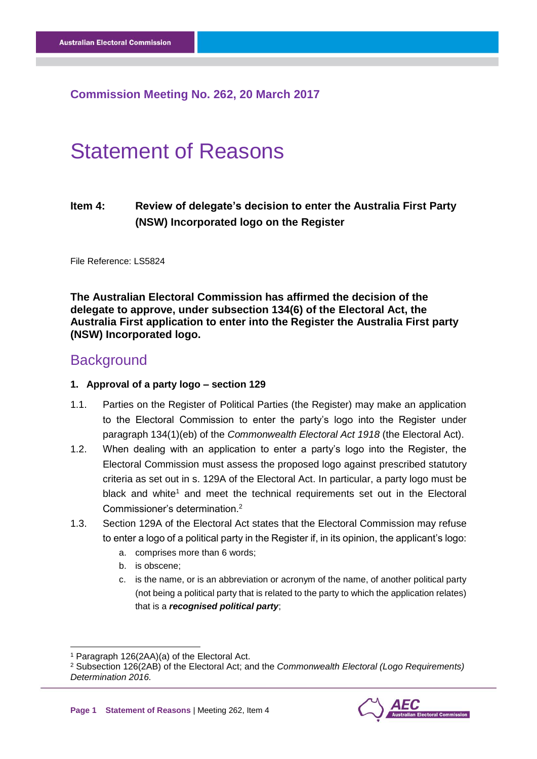# **Commission Meeting No. 262, 20 March 2017**

# Statement of Reasons

# **Item 4: Review of delegate's decision to enter the Australia First Party (NSW) Incorporated logo on the Register**

File Reference: LS5824

**The Australian Electoral Commission has affirmed the decision of the delegate to approve, under subsection 134(6) of the Electoral Act, the Australia First application to enter into the Register the Australia First party (NSW) Incorporated logo.**

# **Background**

#### **1. Approval of a party logo – section 129**

- 1.1. Parties on the Register of Political Parties (the Register) may make an application to the Electoral Commission to enter the party's logo into the Register under paragraph 134(1)(eb) of the *Commonwealth Electoral Act 1918* (the Electoral Act).
- 1.2. When dealing with an application to enter a party's logo into the Register, the Electoral Commission must assess the proposed logo against prescribed statutory criteria as set out in s. 129A of the Electoral Act. In particular, a party logo must be black and white<sup>1</sup> and meet the technical requirements set out in the Electoral Commissioner's determination.<sup>2</sup>
- 1.3. Section 129A of the Electoral Act states that the Electoral Commission may refuse to enter a logo of a political party in the Register if, in its opinion, the applicant's logo:
	- a. comprises more than 6 words;
	- b. is obscene;
	- c. is the name, or is an abbreviation or acronym of the name, of another political party (not being a political party that is related to the party to which the application relates) that is a *recognised political party*;

-

<sup>2</sup> Subsection 126(2AB) of the Electoral Act; and the *Commonwealth Electoral (Logo Requirements) Determination 2016.*



<sup>1</sup> Paragraph 126(2AA)(a) of the Electoral Act.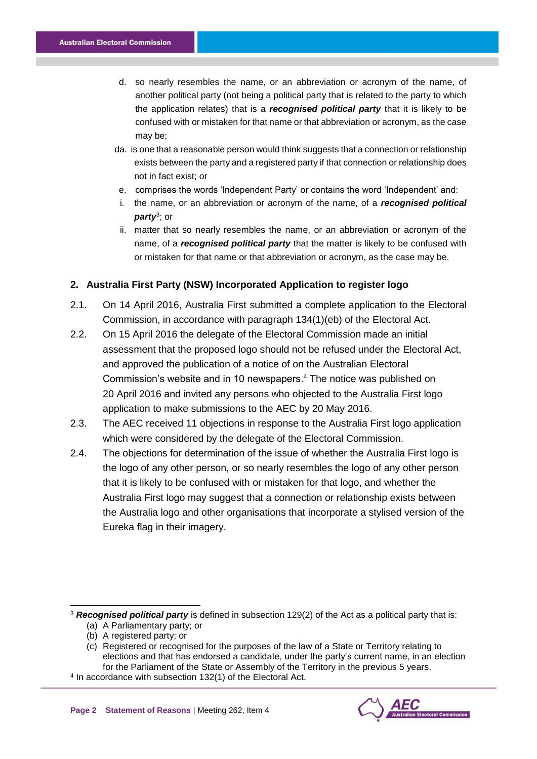- d. so nearly resembles the name, or an abbreviation or acronym of the name, of another political party (not being a political party that is related to the party to which the application relates) that is a *recognised political party* that it is likely to be confused with or mistaken for that name or that abbreviation or acronym, as the case may be;
- da. is one that a reasonable person would think suggests that a connection or relationship exists between the party and a registered party if that connection or relationship does not in fact exist; or
- e. comprises the words 'Independent Party' or contains the word 'Independent' and:
- i. the name, or an abbreviation or acronym of the name, of a *recognised political party*<sup>3</sup> ; or
- ii. matter that so nearly resembles the name, or an abbreviation or acronym of the name, of a *recognised political party* that the matter is likely to be confused with or mistaken for that name or that abbreviation or acronym, as the case may be.

#### **2. Australia First Party (NSW) Incorporated Application to register logo**

- 2.1. On 14 April 2016, Australia First submitted a complete application to the Electoral Commission, in accordance with paragraph 134(1)(eb) of the Electoral Act.
- 2.2. On 15 April 2016 the delegate of the Electoral Commission made an initial assessment that the proposed logo should not be refused under the Electoral Act, and approved the publication of a notice of on the Australian Electoral Commission's website and in 10 newspapers. 4 The notice was published on 20 April 2016 and invited any persons who objected to the Australia First logo application to make submissions to the AEC by 20 May 2016.
- 2.3. The AEC received 11 objections in response to the Australia First logo application which were considered by the delegate of the Electoral Commission.
- 2.4. The objections for determination of the issue of whether the Australia First logo is the logo of any other person, or so nearly resembles the logo of any other person that it is likely to be confused with or mistaken for that logo, and whether the Australia First logo may suggest that a connection or relationship exists between the Australia logo and other organisations that incorporate a stylised version of the Eureka flag in their imagery.

<sup>3</sup> **Recognised political party** is defined in subsection 129(2) of the Act as a political party that is: (a) A Parliamentary party; or

-



<sup>(</sup>b) A registered party; or

<sup>(</sup>c) Registered or recognised for the purposes of the law of a State or Territory relating to elections and that has endorsed a candidate, under the party's current name, in an election for the Parliament of the State or Assembly of the Territory in the previous 5 years.

<sup>4</sup> In accordance with subsection 132(1) of the Electoral Act.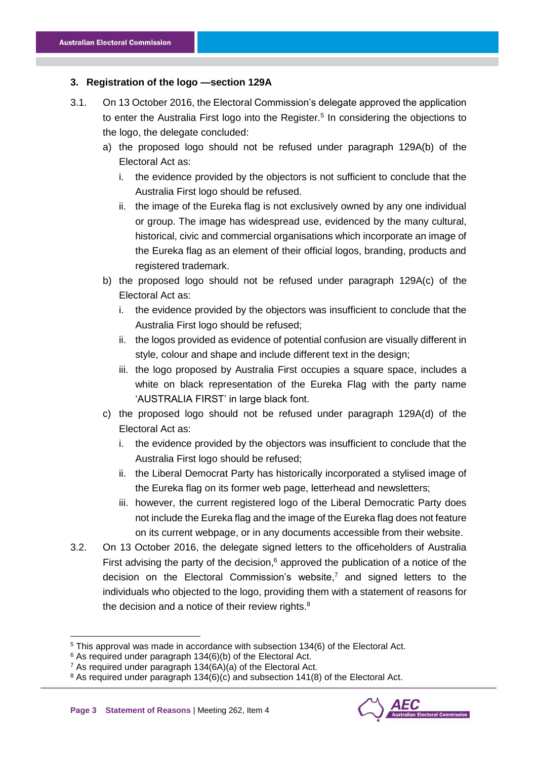## **3. Registration of the logo —section 129A**

- 3.1. On 13 October 2016, the Electoral Commission's delegate approved the application to enter the Australia First logo into the Register.<sup>5</sup> In considering the objections to the logo, the delegate concluded:
	- a) the proposed logo should not be refused under paragraph 129A(b) of the Electoral Act as:
		- i. the evidence provided by the objectors is not sufficient to conclude that the Australia First logo should be refused.
		- ii. the image of the Eureka flag is not exclusively owned by any one individual or group. The image has widespread use, evidenced by the many cultural, historical, civic and commercial organisations which incorporate an image of the Eureka flag as an element of their official logos, branding, products and registered trademark.
	- b) the proposed logo should not be refused under paragraph 129A(c) of the Electoral Act as:
		- i. the evidence provided by the objectors was insufficient to conclude that the Australia First logo should be refused;
		- ii. the logos provided as evidence of potential confusion are visually different in style, colour and shape and include different text in the design;
		- iii. the logo proposed by Australia First occupies a square space, includes a white on black representation of the Eureka Flag with the party name 'AUSTRALIA FIRST' in large black font.
	- c) the proposed logo should not be refused under paragraph 129A(d) of the Electoral Act as:
		- i. the evidence provided by the objectors was insufficient to conclude that the Australia First logo should be refused;
		- ii. the Liberal Democrat Party has historically incorporated a stylised image of the Eureka flag on its former web page, letterhead and newsletters;
		- iii. however, the current registered logo of the Liberal Democratic Party does not include the Eureka flag and the image of the Eureka flag does not feature on its current webpage, or in any documents accessible from their website.
- 3.2. On 13 October 2016, the delegate signed letters to the officeholders of Australia First advising the party of the decision, $6$  approved the publication of a notice of the decision on the Electoral Commission's website,<sup>7</sup> and signed letters to the individuals who objected to the logo, providing them with a statement of reasons for the decision and a notice of their review rights. $8$

-

<sup>5</sup> This approval was made in accordance with subsection 134(6) of the Electoral Act.

<sup>6</sup> As required under paragraph 134(6)(b) of the Electoral Act.

<sup>7</sup> As required under paragraph 134(6A)(a) of the Electoral Act.

<sup>&</sup>lt;sup>8</sup> As required under paragraph 134(6)(c) and subsection 141(8) of the Electoral Act.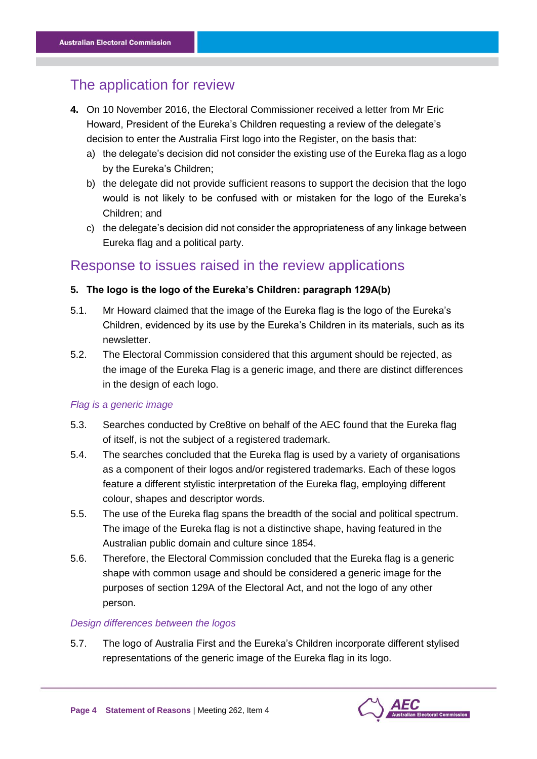# The application for review

- **4.** On 10 November 2016, the Electoral Commissioner received a letter from Mr Eric Howard, President of the Eureka's Children requesting a review of the delegate's decision to enter the Australia First logo into the Register, on the basis that:
	- a) the delegate's decision did not consider the existing use of the Eureka flag as a logo by the Eureka's Children;
	- b) the delegate did not provide sufficient reasons to support the decision that the logo would is not likely to be confused with or mistaken for the logo of the Eureka's Children; and
	- c) the delegate's decision did not consider the appropriateness of any linkage between Eureka flag and a political party.

# Response to issues raised in the review applications

## **5. The logo is the logo of the Eureka's Children: paragraph 129A(b)**

- 5.1. Mr Howard claimed that the image of the Eureka flag is the logo of the Eureka's Children, evidenced by its use by the Eureka's Children in its materials, such as its newsletter.
- 5.2. The Electoral Commission considered that this argument should be rejected, as the image of the Eureka Flag is a generic image, and there are distinct differences in the design of each logo.

## *Flag is a generic image*

- 5.3. Searches conducted by Cre8tive on behalf of the AEC found that the Eureka flag of itself, is not the subject of a registered trademark.
- 5.4. The searches concluded that the Eureka flag is used by a variety of organisations as a component of their logos and/or registered trademarks. Each of these logos feature a different stylistic interpretation of the Eureka flag, employing different colour, shapes and descriptor words.
- 5.5. The use of the Eureka flag spans the breadth of the social and political spectrum. The image of the Eureka flag is not a distinctive shape, having featured in the Australian public domain and culture since 1854.
- 5.6. Therefore, the Electoral Commission concluded that the Eureka flag is a generic shape with common usage and should be considered a generic image for the purposes of section 129A of the Electoral Act, and not the logo of any other person.

## *Design differences between the logos*

5.7. The logo of Australia First and the Eureka's Children incorporate different stylised representations of the generic image of the Eureka flag in its logo.

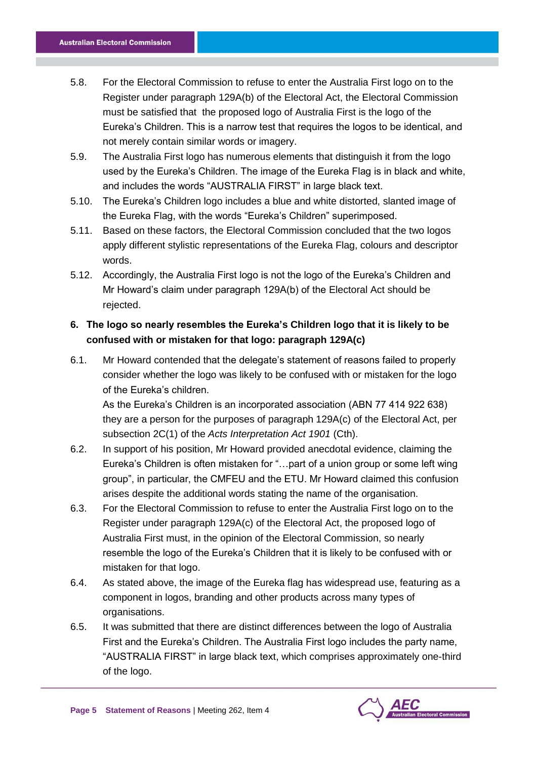- 5.8. For the Electoral Commission to refuse to enter the Australia First logo on to the Register under paragraph 129A(b) of the Electoral Act, the Electoral Commission must be satisfied that the proposed logo of Australia First is the logo of the Eureka's Children. This is a narrow test that requires the logos to be identical, and not merely contain similar words or imagery.
- 5.9. The Australia First logo has numerous elements that distinguish it from the logo used by the Eureka's Children. The image of the Eureka Flag is in black and white, and includes the words "AUSTRALIA FIRST" in large black text.
- 5.10. The Eureka's Children logo includes a blue and white distorted, slanted image of the Eureka Flag, with the words "Eureka's Children" superimposed.
- 5.11. Based on these factors, the Electoral Commission concluded that the two logos apply different stylistic representations of the Eureka Flag, colours and descriptor words.
- 5.12. Accordingly, the Australia First logo is not the logo of the Eureka's Children and Mr Howard's claim under paragraph 129A(b) of the Electoral Act should be rejected.

# **6. The logo so nearly resembles the Eureka's Children logo that it is likely to be confused with or mistaken for that logo: paragraph 129A(c)**

6.1. Mr Howard contended that the delegate's statement of reasons failed to properly consider whether the logo was likely to be confused with or mistaken for the logo of the Eureka's children.

As the Eureka's Children is an incorporated association (ABN 77 414 922 638) they are a person for the purposes of paragraph 129A(c) of the Electoral Act, per subsection 2C(1) of the *Acts Interpretation Act 1901* (Cth).

- 6.2. In support of his position, Mr Howard provided anecdotal evidence, claiming the Eureka's Children is often mistaken for "…part of a union group or some left wing group", in particular, the CMFEU and the ETU. Mr Howard claimed this confusion arises despite the additional words stating the name of the organisation.
- 6.3. For the Electoral Commission to refuse to enter the Australia First logo on to the Register under paragraph 129A(c) of the Electoral Act, the proposed logo of Australia First must, in the opinion of the Electoral Commission, so nearly resemble the logo of the Eureka's Children that it is likely to be confused with or mistaken for that logo.
- 6.4. As stated above, the image of the Eureka flag has widespread use, featuring as a component in logos, branding and other products across many types of organisations.
- 6.5. It was submitted that there are distinct differences between the logo of Australia First and the Eureka's Children. The Australia First logo includes the party name, "AUSTRALIA FIRST" in large black text, which comprises approximately one-third of the logo.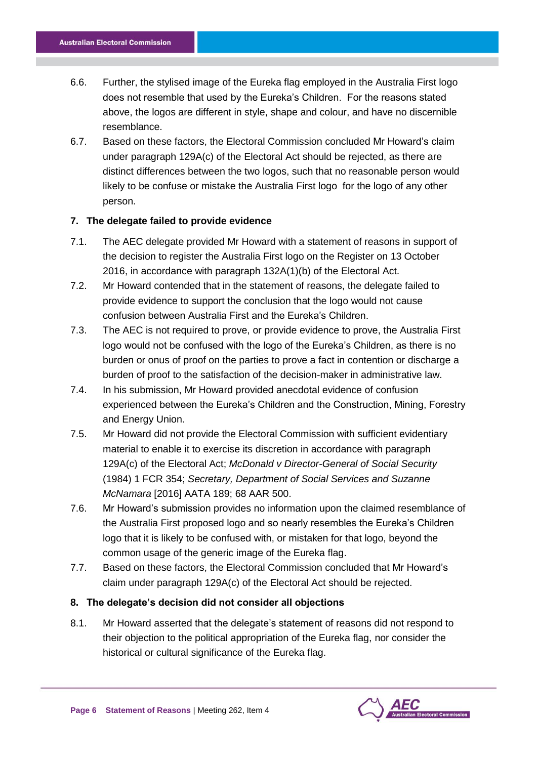- 6.6. Further, the stylised image of the Eureka flag employed in the Australia First logo does not resemble that used by the Eureka's Children. For the reasons stated above, the logos are different in style, shape and colour, and have no discernible resemblance.
- 6.7. Based on these factors, the Electoral Commission concluded Mr Howard's claim under paragraph 129A(c) of the Electoral Act should be rejected, as there are distinct differences between the two logos, such that no reasonable person would likely to be confuse or mistake the Australia First logo for the logo of any other person.

## **7. The delegate failed to provide evidence**

- 7.1. The AEC delegate provided Mr Howard with a statement of reasons in support of the decision to register the Australia First logo on the Register on 13 October 2016, in accordance with paragraph 132A(1)(b) of the Electoral Act.
- 7.2. Mr Howard contended that in the statement of reasons, the delegate failed to provide evidence to support the conclusion that the logo would not cause confusion between Australia First and the Eureka's Children.
- 7.3. The AEC is not required to prove, or provide evidence to prove, the Australia First logo would not be confused with the logo of the Eureka's Children, as there is no burden or onus of proof on the parties to prove a fact in contention or discharge a burden of proof to the satisfaction of the decision-maker in administrative law.
- 7.4. In his submission, Mr Howard provided anecdotal evidence of confusion experienced between the Eureka's Children and the Construction, Mining, Forestry and Energy Union.
- 7.5. Mr Howard did not provide the Electoral Commission with sufficient evidentiary material to enable it to exercise its discretion in accordance with paragraph 129A(c) of the Electoral Act; *McDonald v Director-General of Social Security* (1984) 1 FCR 354; *Secretary, Department of Social Services and Suzanne McNamara* [2016] AATA 189; 68 AAR 500.
- 7.6. Mr Howard's submission provides no information upon the claimed resemblance of the Australia First proposed logo and so nearly resembles the Eureka's Children logo that it is likely to be confused with, or mistaken for that logo, beyond the common usage of the generic image of the Eureka flag.
- 7.7. Based on these factors, the Electoral Commission concluded that Mr Howard's claim under paragraph 129A(c) of the Electoral Act should be rejected.

#### **8. The delegate's decision did not consider all objections**

8.1. Mr Howard asserted that the delegate's statement of reasons did not respond to their objection to the political appropriation of the Eureka flag, nor consider the historical or cultural significance of the Eureka flag.

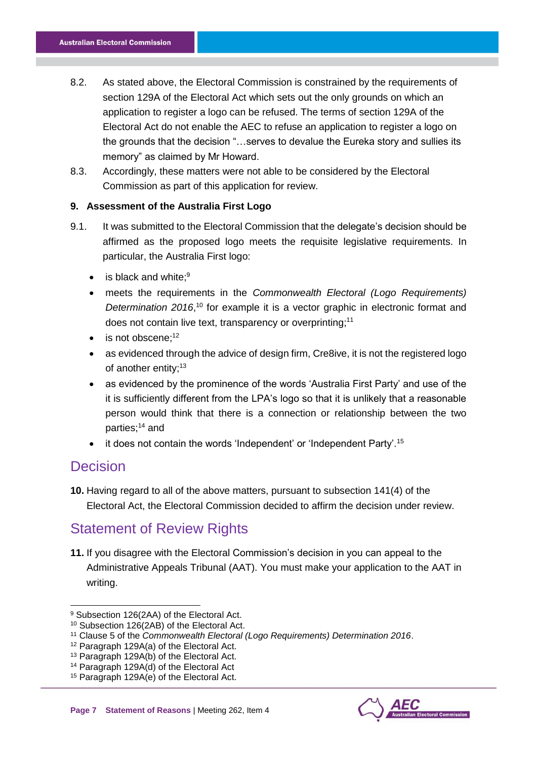- 8.2. As stated above, the Electoral Commission is constrained by the requirements of section 129A of the Electoral Act which sets out the only grounds on which an application to register a logo can be refused. The terms of section 129A of the Electoral Act do not enable the AEC to refuse an application to register a logo on the grounds that the decision "…serves to devalue the Eureka story and sullies its memory" as claimed by Mr Howard.
- 8.3. Accordingly, these matters were not able to be considered by the Electoral Commission as part of this application for review.

## **9. Assessment of the Australia First Logo**

- 9.1. It was submitted to the Electoral Commission that the delegate's decision should be affirmed as the proposed logo meets the requisite legislative requirements. In particular, the Australia First logo:
	- $\bullet$  is black and white;  $9$
	- meets the requirements in the *Commonwealth Electoral (Logo Requirements)*  Determination 2016,<sup>10</sup> for example it is a vector graphic in electronic format and does not contain live text, transparency or overprinting;<sup>11</sup>
	- is not obscene;<sup>12</sup>
	- as evidenced through the advice of design firm, Cre8ive, it is not the registered logo of another entity;<sup>13</sup>
	- as evidenced by the prominence of the words 'Australia First Party' and use of the it is sufficiently different from the LPA's logo so that it is unlikely that a reasonable person would think that there is a connection or relationship between the two parties;<sup>14</sup> and
	- $\bullet$  it does not contain the words 'Independent' or 'Independent Party'.<sup>15</sup>

# **Decision**

-

**10.** Having regard to all of the above matters, pursuant to subsection 141(4) of the Electoral Act, the Electoral Commission decided to affirm the decision under review.

# Statement of Review Rights

**11.** If you disagree with the Electoral Commission's decision in you can appeal to the Administrative Appeals Tribunal (AAT). You must make your application to the AAT in writing.



<sup>9</sup> Subsection 126(2AA) of the Electoral Act.

<sup>10</sup> Subsection 126(2AB) of the Electoral Act.

<sup>11</sup> Clause 5 of the *Commonwealth Electoral (Logo Requirements) Determination 2016*.

<sup>12</sup> Paragraph 129A(a) of the Electoral Act.

<sup>13</sup> Paragraph 129A(b) of the Electoral Act.

<sup>14</sup> Paragraph 129A(d) of the Electoral Act

<sup>15</sup> Paragraph 129A(e) of the Electoral Act.